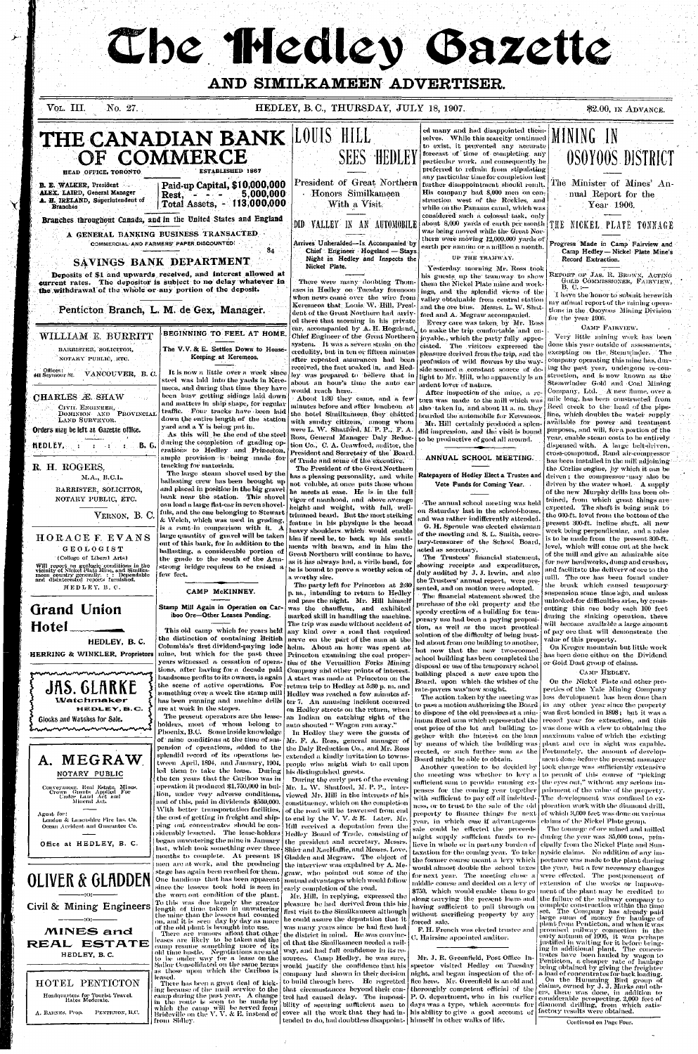# The Hedley Gazette

#### AND SIMILKAMEEN ADVERTISER.

VOL. III. No. 27. HEDLEY, B.C., THURSDAY, JULY 18, 1907.

\$2.00, IN ADVANCE.



HEDLEY, B. C.

## **Grand Union** Hotel

HEDLEY, B.C.

HERRING & WINKLER, Proprietors



#### A. MEGRAW NOTARY PUBLIC

Conveyancer, Real Estate, Mines,<br>Crown Grants Applied For<br>Under Land Act and<br>Mineral Act,

Agent for: London & Lancashire Fire Ins. Co. Ocean Accident and Guarantee Co.

Office at HEDLEY, B. C.

## **OLIVER & GLADDEN**



 $\rightarrow$  :0:-

I

**MINES and** REAL ESTATE HEDLEY, B.C.

HOTEL PENTICTON Hoadquarters for Tourist Travel.<br>Rates Moderate. A. BARNES, Prop. PENTICTON, B.C. CAMP McKINNEY.

Stamp Mill Again in Operation on Cariboo Ore-Other Leases Pending.

This old camp which for years held the distinction of containing British Columbia's first dividend-paying lode mine, but which for the past three years witnessed a cessation of operations, after having for a decade paid handsome profits to its owners, is again  $\vert$ the scene of active operations. For has been running and machine drills

are at work in the stopes. The present operators are the leaseholders, most of whom belong to Phoenix, B.C. Some inside knowledge of  $\,$  mine  $\,$  conditions at the time of sus-  $\,$ pension of operations, added to the splendid record of its operations between April, 1894, and January, 1904, led them to take the lease. During the ten years that the Cariboo was in operation it produced \$1,750,000 in bullion, under very adverse conditions, and of this, paid in dividends \$559,000. With better transportation facilities, the cost of getting in freight and shipping out concentrates should be considerably lessened. The lease-holders began unwatering the mine in January last, which took something over three. months to complete. At present  $18$ men are at work, and the producing stage has again-been reached for them.

since the lessees took hold is seen in the worn out condition of the plant. To this was due largely the greater length of time taken in unwatering the mine than the lessees had counted on, and it is "seen" day by day as more of the old plant is brought into use. leases are likely to be taken and the camp resume something more of its old time bustle. Negotiations are said to be under way for a lease on the Sailor Consolidated on the same terms as those upon which the Cariboo is leased.

One handicap that has been apparent

There has been a great deal of kicking because of the mail service to the | camp during the past year. A change in the route is soon to be made by which the camp will be served from<br>Brideville on the V.V. & E, instead of from Sidley.

The party left for Princeton at 2:30 p. m., intending to return to Hedley and pass the night. Mr. Hill himself was the chauffeur, and exhibited marked skill in handling the machine. The trip was made without accident of any kind over a road that required nerve on the part of the man at the helm. About an hour was spent at Princeton examining the coal properties of the Vermillion Forks Mining Company and other points of interest. A start was made at Princeton on the return trip to Hedley at 5:30 p. m. and something over a week the stamp mill | Hedlev was reached a few minutes after 7. An amusing incident occurred

on Hedley streets on the return, when an Indian on catching sight of the auto shouted "Wagon run away." In Hedley they were the guests of Mr. F. A. Ross, general manager of the Daly Reduction Co., and Mr. Ross extended a kindly invitation to townsneonle who might wish to call upon his distinguished guests.

During the early part of the evening Mr. L. W. Shatford, M. P. P., interviewed Mr. Hill in the interests of his constituency, which on the completion of the road will be traversed from end to end by the V.V. & E. Later, Mr. Hill received a deputation from the Hedley Board of Trade, consisting of the president and secretary, Messrs. Shier and MacHaffie, and Messis, Love, Gladden and Megraw. The object of the interview was explained by  $A$ . Megraw, who pointed out some of the mutual advantages which would follow early completion of the road.

Mr. Hill, in replying, expressed the pleasure he had derived from this his first visit to the Similkameen although he could assure the deputation that it was many years since he had first had There are rumors afloat that other the district in mind. He was convinced that the Similkameen needed a railway, and had full confidence in its resources. Camp Hedley, he was sure, would justify the confidence that his company had shown in their decision to build through here. He regretted that circumstances beyond their control had caused delay. The impossitended to do, had doubtless disappoint- himself in other walks of life.

sented, and on motion were adopted. The financial statement showed the purchase of the old property and the speedy erection of a building for temporary use had been a-paying proposition, as well as the most practical solution of the difficulty of being hustled about from one building to another, but now that the new two-roomed school building has been completed the disposal or use of the temporary school building placed a new care upon the Board, upon which the wishes of the rate-payers was'now sought.

The action taken by the meeting was | less development has been done than to pass a motion authorizing the Board  $\mid$  in -any -other--year since the propertyto dispose of the old premises at a min-inum fixed sum which represented the [ record \_year\_for\_extraction,and\_this\_ eost price of the lot and building together with the interest on the loan | maximum value of which the existing by means of which the building was plant and ore in sight was capable. erected, or such further sum as the Fortunately, the amount of develop-Board might be able to obtain.

Another question to be decided by the meeting was whether to levy a | to permit of this course of "picking" sufficient sum to provide\_running\_ex-{the eyes out," without any serious impenses for the coming year together| with sufficient to pay off all indebted- [The=development\_was\_confined\_to\_exness, or to trust to the sale of the old property to finance things for next year, in which case if advantageous sale could be effected the proceeds might supply sufficient funds to relieve in whole or in part any burden of taxation for the coming year. To take the former course meant a levy which | portance was made to the plant during would almost double the school taxes the year, but a few necessary changes for next year. The meeting chose a middle course and decided on a levy of \$750, which would enable them to go along carrying the present loans and the failure of the railway company to having sufficient to pull through on without sacrificing property by any forced sale.

F. H. French was elected trustee and U. Hairsine appointed auditor.

Mr. J. R. Greenfield, Post Office Inspector visited Hedley on Tuesday night, and began inspection of the office here. Mr. Greenfield is an old and thoroughly competent official of the bility of securing sufficient men to days was a type, which accounts for diamond drilling, from which satiscover all the work that they had in- his ability to give a good account of

the break which caused temporary suspension some time ago, and unless unlooked-for difficulties arise, by crosscutting this ore body each 100 feet during the sinking operation, there will become available a large amount of pay ore that will demonstrate the value of this property.

On Kruger mountain but little work has been done either on the Dividend or Gold Dust group of claims.

#### CAMP HEDLEY.

On the Nickel Plate and other properties of the Yale Mining Company was first bonded in 1898; but it was a was done with a view to obtaining the ment done before the present manager took charge was sufficiently extensive pairment of the value of the property. ploration work with the diamond drill, of which 3,600 feet was done on various claims of the Nickel Plate group.

The tonnage of ore mined and milled during the year was 35,000 tons, prineipally from the Nickel Plate and Sunnyside claims. No addition of any imwere effected. The postponement of extension of the works or improvement of the plant may be credited to complete construction within the time set. The Company has already paid large sums of money for haulage of plant from Penticton, and when it was promised railway connection in the early autumn of 1906, it was perhaps justified in waiting for it before bringing in additional plant. The concentrates have been hauled by wagon to Penticton, a cheaper rate of haulage being obtained by giving the freighter a load of concentrates for back loading. On the Humming Bird group of<br>claims, owned by J. J. Marks and others, there was done, in addition to P. O. department, who in his carlier considerable prospecting, 2,000 feet of factory results were obtained.

Continued on Page Four.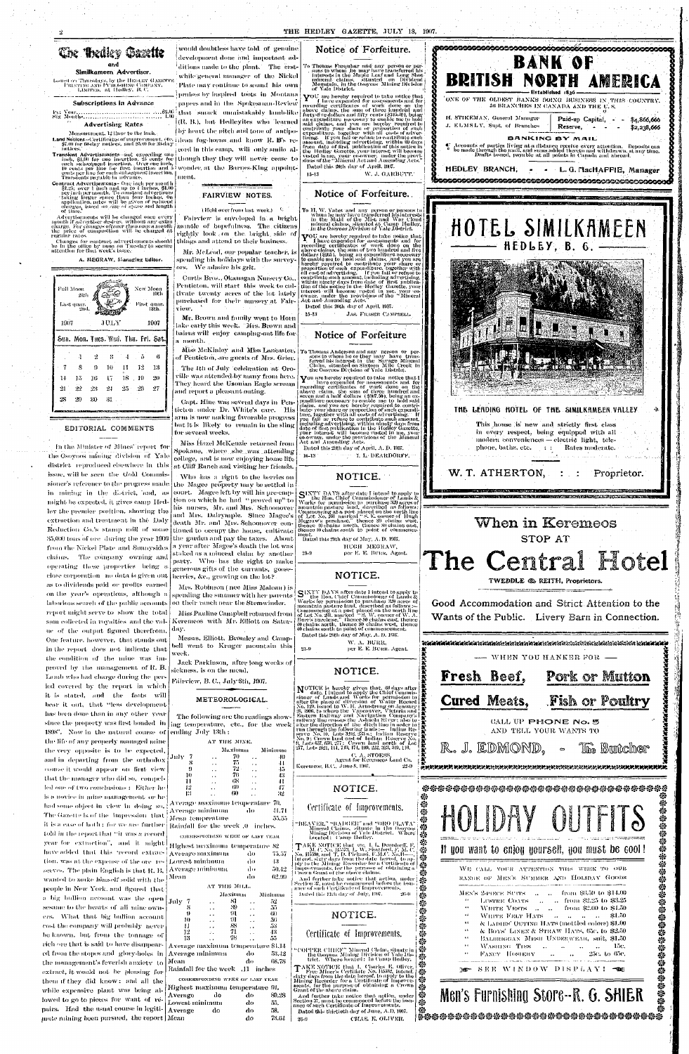#### THE HEDLEY GAZETTE, JULY 18, 1907.



imbiens

of time.

Full Moon

1907

 $14$ 

-28

-15

 $22$ 

 $-20$ 

as to dividends paid or profits carned on the year's operations, although a Inhorious search of the public accounts report might serve to show the total sum collected in royalties and the value of the output figured therefrom. One feature, however, that stands out in the report does not indicate that the condition of the mine was improved by the management of R. B. Lamb who had charge during the period covered by the report in which it is stated, and the facts will bear it out, that "less development has been done than in any other year since the property was first bonded in 1898". Now in the natural course of the life of any properly managed mine the very opposite is to be expected, and in departing from the orthodox course it would appear on first view that the manager who did so, compelled one of two conclusions: Either he is a novice in mine management, or he had some object in view in doing so, The Gazette is of the impression that fold in the report that "it was a record year for extraction", and it might have added that this pecord extraction, was at the expense of the ore-rewanted to make himself solid with the people in New York, and figured that a big bullion account was the opensesame to the hearts of all mine owners. What that big bullion account cost the company will probably never be known, but from the tonnage of rich ore that is said to have disappearthe management's feverish anxiety to extract, it would not be pleasing for them if they did know: and all the lowed to go to pieces for want of repairs. Had the usual course in legiti- Average mate mining been pursued, the report Mean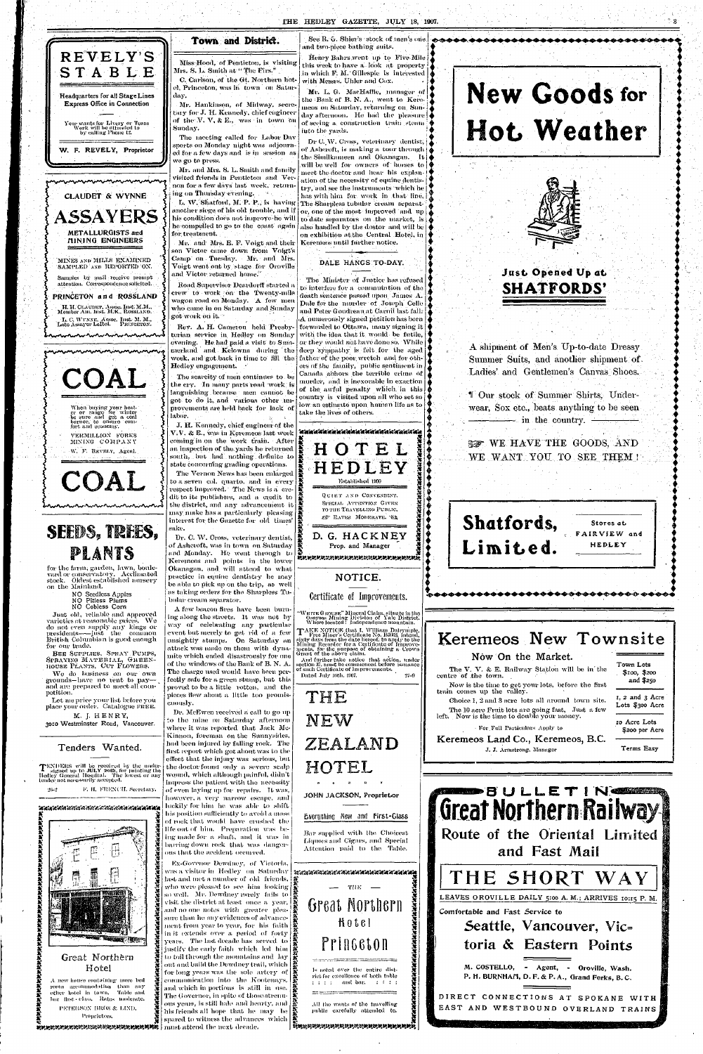

Your wants for Livery or Team<br>Work will be attended to<br>by calling Phone 12.

W. F. REVELY, Proprietor

### **CLAUDET & WYNNE** ASSAYERS METALLURGISTS and

MINING ENGINEERS

MINES AND MILLS EXAMINED SAMPLED AND REPORTED ON.

Samples by mail receive prompt attention. Correspondence solicited.

PRINCETON and ROSSLAND

H. H. CLAUDET, Assoc. Inst. M.M.,<br>Member Am. Inst. M.E., ROSSLAND. L. C. WYNNE, Assoc. Inst. M. M.,<br>Late Assayer LeRoi. PRINCETON.

nuninvninvnin



## SEEDS, TREES, PLANTS

for the farm, garden, lawn, boulevard or conservatory. Acclimated<br>stock. Oldest established nursery

See R. G. Shier's stock of men's one. ind two-piece bathing suits.

Town and District.

The meeting called for Labor Dav

sports on Monday night was adjourn-

ed for a few days and is in session as

Mr. and Mrs. S. L. Smith and family

visited friends in Penticton and Ver-

non for a few days last week, return-

L. W. Shatford, M. P. P., is having

another siege of his old-trouble, and if

his condition does not improve he will

he compelled to go to the coast again

Mr. and Mrs. E. F. Voigt and their

son Victor came down from Voigt's Camp on Tuesday. Mr. and Mrs.

Voigt went out by stage for Oroville

Road Supervisor Deardorff started a

crew to work on the Twenty-mile

wagon road on Monday. A few men

who came in on Saturday and Sunday

Rev. A. H. Cameron held Presby-

terian service in Hedley on Sunday

evening. He had paid a visit to Sum-

merland and Kelowna during the

week, and got back in time to fill the

The scarcity of men continues to be

the cry. In many parts road work is

Ianguishing because men cannot be

got to do it, and various other un-

provements are held back for lack of

state concerning grading operations.

and Victor returned home."

ing on Thursday evening. The

Sunday.

we go to press.

for treatment.

got work on it. [

labor.

sake.

Hedley engagement.

Henry Bahrs went up to Five Mile this week to have a look at property in which F. M. Gillespie is interested with Messis. Uhler and Cox.

Mr. L. G. MacHaffie, manager of the Bank of B. N. A., went to Keremeos on Saturday, returning on Sunday afternoon. He had the pleasure of seeing a construction train steam into the yards.

Dr C. W. Cross, veterinary dentist, of Ashcroft, is making a tour through the Similkameen and Okanagan. It will be well for owners of horses to meet the doctor and hear his explanation of the necessity of equine dentistry, and see the instruments which he has with him for work in that line, The Sharpless tubular cream separator, one of the most improved and up to date separators on the market, is also handled by the dostor and will be on exhibition at the Central Hotel, in Keremeos until further notice.

#### DALE HANGS TO-DAY.

The Minister of Justice has refused to interfere for a commutation of the death sentence passed upon James A. Dale for the nurrder of Joseph Celle and Peter Gondreau at Carnii last fall.  $\mathbf A$  numerously signed petition has been forwarded to Ottawa, many signing it with the idea that it would be futile, or they would not have done so. While deep sympathy is felt for the aged father of the poor wretch and for others of the family, public sentiment in Canada abhors the terrible crime of murder, and is inexorable in exaction of the awful penalty which in this. country is visited upon all who set so low an estimate upon human life as to take the lives of others.



# **New Goods for** Hot Weather



## Just Opened Up at **SHATFORDS'**

A shipment of Men's Up-to-date Dressy Summer Suits, and another shipment of. Ladies' and Gentlemen's Canvas Shoes.

I Our stock of Summer Shirts, Underwear, Sox etc., beats anything to be seen  $\longrightarrow$  in the country.  $\rightarrow$ 

**BOOT WE HAVE THE GOODS, AND** WE WANT YOU TO SEE THEM !



on the Mainland.

NO Seedless Apples

NO Pitless Plums NO Cobless Corn

Just old, reliable and approved varieties at reasonable prices. We do not even supply any kings or presidents——just the common British Columbian is good enough for our trade.

BEE SUPPLIES, SPRAY PUMPS, SPRAYING MATERIAL, GREEN-HOUSE PLANTS, CUT FLOWERS.

We do business on our own grounds-have no rent to payand are prepared to meet all competition.

Let me price your list before you place your order. Catalogue FREE.

M. J. HENRY, 3010 Westminster Road, Vancouver.

#### Tenders Wanted.

TENDERS will be received by the under-<br>signed up to JULY 20th, for painting the<br>Hedley General Hospital. The lowest or any<br>tender not necessarily accepted.

F. H. FRENCH. Secretary.  $\gamma_{1-2}$ 



Great Northern Hotel

A new house containing more bed room accommodation than any other hotel in town. Table and bar flist class. Rates moderate,

PETERSON BROS & LIND, Proprietors.

next decade. Inner a through the property of the second terms of the second.

be able to pick up on the trip, as well as taking orders for the Sharpless Tubular cream separator.

Okanagan, and will attend to what

practice in equine dentistry he may

A few beacon fires have been burning along the streets. It was not by way of celebrating any particular event but merely to get rid of a few unsightly stumps. On Saturday an attack was made on them with dynamite which ended disastrously for one of the windows of the Bank of B.N.A. The charge used would have been perfectly safe for a green stump, but this proved to be a little rotten, and the pieces flew about a little too promiscuously.

Dr. McEwen received a call to go up to the mine on Saturday afternoon where it was reported that Jack Mc-Kinnon, foreman on the Sunnysides, had been injured by falling rock. The first report which got about was to the effect that the injury was serious, but the doctor found only a severe scalp wound, which although painful, didn't impress the patient with the necessity of even laying up for repairs. It was, however, a very narrow escape, and luckily for him he was able to shift his position sufficiently to avoid a mass of rock that would have crushed the life out of him. Preparation was being made for a shaft, and it was in barring down rock that was dangerous that the accident occurred.

Ex-Govenor Dewdney, of Victoria, was a visitor in Hedley on Saturday | manamanan manamanan manaman last and met a number of old friends. | who were pleased to see him looking so well. Mr. Dewdney rarely fails to visit the district at least once a year, and no one notes with greater pleasure than he any evidences of advancement from year to year, for his faith  $\left|\frac{\mathbf{x}}{\mathbf{x}}\right|$ in it extends over a period of forty  $\frac{1}{R}$ years. The last decade has served to justify the early faith which led him to toil through the mountains and lay out and build the Dewdney trail, which for long years was the sole artery of<br>communication into the Kootenays,<br>and which in portions is still in use.<br>The Governor, in spite of those strenu-<br>as The Governor, in spite of those strenu-<br>as years, is still hale and his friends all hope that he may be spared to witness the advances which

#### Certificate of Improvements.

NOTICE.

WIITTE GROUSE" Mineral Claim, situate in the<br>Osoyoos Mining Division of Yale District.<br>Where located : Independence mountain.

TAKE NOTICE that I, William Daleymple. Taken Northers Certificate No. B5683, intend,<br>sixty days from the date liercof, to apply to the<br>Minimg Recorder for a Certificate of Improve-<br>ments, for the purpose of obtaining a Crown<br>Grant of the above claim.

And further take notice that action, under<br>soction 37, must be commenced before issuance<br>of such Certificate of Improvements. Dated July 16th, 1907.  $27 - 9$ 

THE NEW ZEALAND HOTEL

JOHN JACKSON, Proprietor

Everything New and First-Glass

Bar supplied with the Choicest Liquors and Cigars, and Special Attention paid to the Table.

 $THE —$ **Great Northern** Hotel **Pringeton** Is noted over the entire district for excellence of both table

and bar, and the bar ra ra

All the wants of the travelling public carefully attended to.